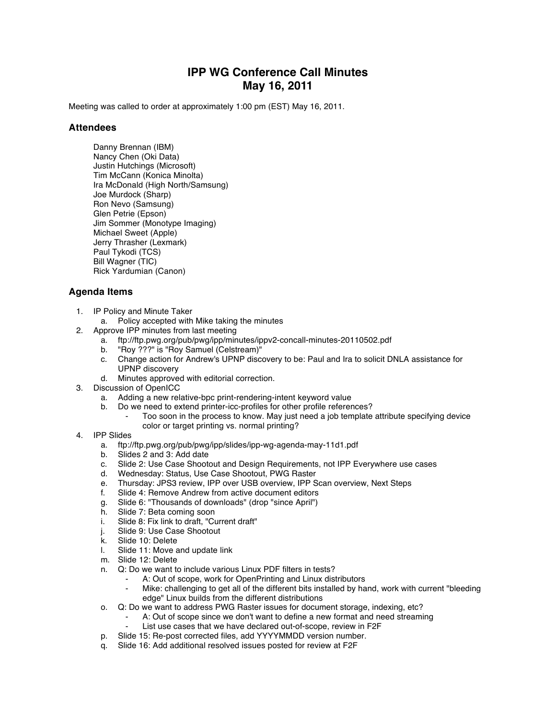## **IPP WG Conference Call Minutes May 16, 2011**

Meeting was called to order at approximately 1:00 pm (EST) May 16, 2011.

## **Attendees**

Danny Brennan (IBM) Nancy Chen (Oki Data) Justin Hutchings (Microsoft) Tim McCann (Konica Minolta) Ira McDonald (High North/Samsung) Joe Murdock (Sharp) Ron Nevo (Samsung) Glen Petrie (Epson) Jim Sommer (Monotype Imaging) Michael Sweet (Apple) Jerry Thrasher (Lexmark) Paul Tykodi (TCS) Bill Wagner (TIC) Rick Yardumian (Canon)

## **Agenda Items**

- 1. IP Policy and Minute Taker
	- a. Policy accepted with Mike taking the minutes
- 2. Approve IPP minutes from last meeting
	- a. ftp://ftp.pwg.org/pub/pwg/ipp/minutes/ippv2-concall-minutes-20110502.pdf
	- b. "Roy ???" is "Roy Samuel (Celstream)"
	- c. Change action for Andrew's UPNP discovery to be: Paul and Ira to solicit DNLA assistance for UPNP discovery
	- d. Minutes approved with editorial correction.
- 3. Discussion of OpenICC
	- a. Adding a new relative-bpc print-rendering-intent keyword value
	- b. Do we need to extend printer-icc-profiles for other profile references?
		- Too soon in the process to know. May just need a job template attribute specifying device color or target printing vs. normal printing?
- 4. IPP Slides
	- a. ftp://ftp.pwg.org/pub/pwg/ipp/slides/ipp-wg-agenda-may-11d1.pdf
	- b. Slides 2 and 3: Add date
	- c. Slide 2: Use Case Shootout and Design Requirements, not IPP Everywhere use cases
	- Wednesday: Status, Use Case Shootout, PWG Raster
	- e. Thursday: JPS3 review, IPP over USB overview, IPP Scan overview, Next Steps
	-
	- f. Slide 4: Remove Andrew from active document editors<br>g. Slide 6: "Thousands of downloads" (drop "since April")<br>h. Slide 7: Beta coming soon Slide 6: "Thousands of downloads" (drop "since April")
	- Slide 7: Beta coming soon
	- i. Slide 8: Fix link to draft, "Current draft"
	- j. Slide 9: Use Case Shootout<br>k. Slide 10: Delete
	- Slide 10: Delete
	- l. Slide 11: Move and update link
	- m. Slide 12: Delete
	- n. Q: Do we want to include various Linux PDF filters in tests?
		- A: Out of scope, work for OpenPrinting and Linux distributors
		- Mike: challenging to get all of the different bits installed by hand, work with current "bleeding edge" Linux builds from the different distributions
	- o. Q: Do we want to address PWG Raster issues for document storage, indexing, etc?
		- A: Out of scope since we don't want to define a new format and need streaming
		- List use cases that we have declared out-of-scope, review in F2F
	- p. Slide 15: Re-post corrected files, add YYYYMMDD version number.
	- q. Slide 16: Add additional resolved issues posted for review at F2F